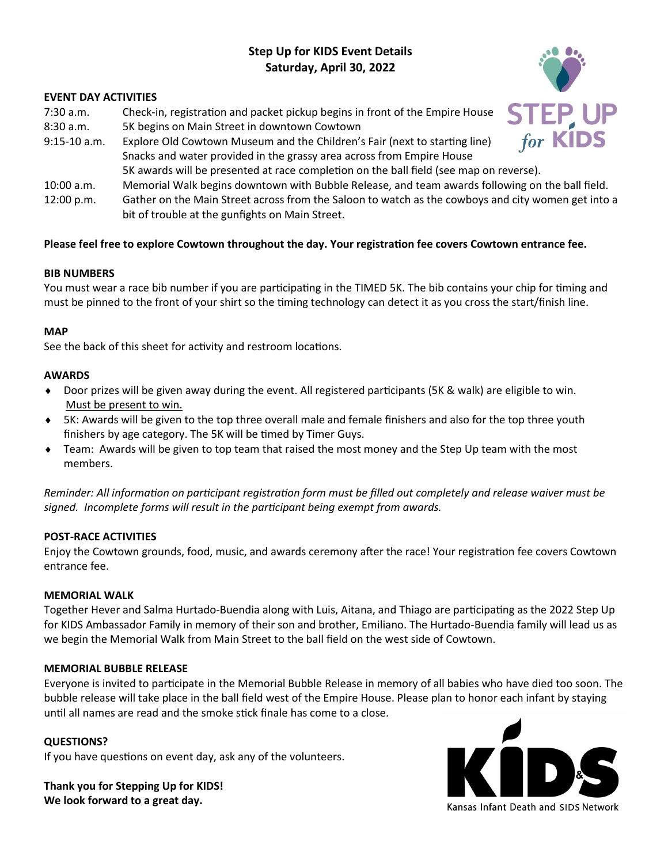# **Step Up for KIDS Event Details Saturday, April 30, 2022**

### **EVENT DAY ACTIVITIES**

- 7:30 a.m. Check-in, registration and packet pickup begins in front of the Empire House
- 8:30 a.m. 5K begins on Main Street in downtown Cowtown
- 9:15-10 a.m. Explore Old Cowtown Museum and the Children's Fair (next to starting line) Snacks and water provided in the grassy area across from Empire House 5K awards will be presented at race completion on the ball field (see map on reverse).
- 10:00 a.m. Memorial Walk begins downtown with Bubble Release, and team awards following on the ball field.
- 12:00 p.m. Gather on the Main Street across from the Saloon to watch as the cowboys and city women get into a bit of trouble at the gunfights on Main Street.

# **Please feel free to explore Cowtown throughout the day. Your registration fee covers Cowtown entrance fee.**

#### **BIB NUMBERS**

You must wear a race bib number if you are participating in the TIMED 5K. The bib contains your chip for timing and must be pinned to the front of your shirt so the timing technology can detect it as you cross the start/finish line.

## **MAP**

See the back of this sheet for activity and restroom locations.

#### **AWARDS**

- ◆ Door prizes will be given away during the event. All registered participants (5K & walk) are eligible to win. Must be present to win.
- 5K: Awards will be given to the top three overall male and female finishers and also for the top three youth finishers by age category. The 5K will be timed by Timer Guys.
- Team: Awards will be given to top team that raised the most money and the Step Up team with the most members.

*Reminder: All information on participant registration form must be filled out completely and release waiver must be signed. Incomplete forms will result in the participant being exempt from awards.* 

# **POST-RACE ACTIVITIES**

Enjoy the Cowtown grounds, food, music, and awards ceremony after the race! Your registration fee covers Cowtown entrance fee.

#### **MEMORIAL WALK**

Together Hever and Salma Hurtado-Buendia along with Luis, Aitana, and Thiago are participating as the 2022 Step Up for KIDS Ambassador Family in memory of their son and brother, Emiliano. The Hurtado-Buendia family will lead us as we begin the Memorial Walk from Main Street to the ball field on the west side of Cowtown.

#### **MEMORIAL BUBBLE RELEASE**

Everyone is invited to participate in the Memorial Bubble Release in memory of all babies who have died too soon. The bubble release will take place in the ball field west of the Empire House. Please plan to honor each infant by staying until all names are read and the smoke stick finale has come to a close.

#### **QUESTIONS?**

If you have questions on event day, ask any of the volunteers.

**Thank you for Stepping Up for KIDS! We look forward to a great day.** 



Kansas Infant Death and SIDS Network